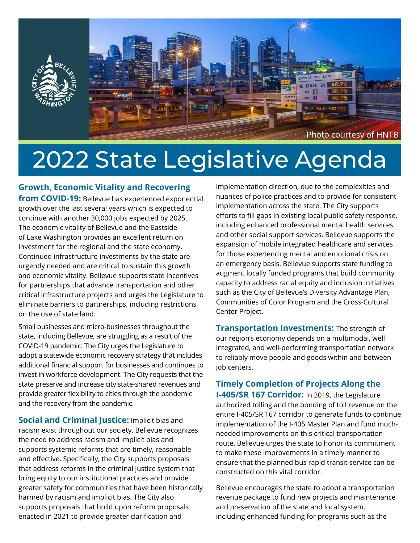

# 2022 State Legislative Agenda

**Growth, Economic Vitality and Recovering** 

**from COVID-19:** Bellevue has experienced exponential growth over the last several years which is expected to continue with another 30,000 jobs expected by 2025. The economic vitality of Bellevue and the Eastside of Lake Washington provides an excellent return on investment for the regional and the state economy. Continued infrastructure investments by the state are urgently needed and are critical to sustain this growth and economic vitality. Bellevue supports state incentives for partnerships that advance transportation and other critical infrastructure projects and urges the Legislature to eliminate barriers to partnerships, including restrictions on the use of state land.

Small businesses and micro-businesses throughout the state, including Bellevue, are struggling as a result of the COVID-19 pandemic. The City urges the Legislature to adopt a statewide economic recovery strategy that includes additional financial support for businesses and continues to invest in workforce development. The City requests that the state preserve and increase city state-shared revenues and provide greater flexibility to cities through the pandemic and the recovery from the pandemic.

**Social and Criminal Justice:** Implicit bias and racism exist throughout our society. Bellevue recognizes the need to address racism and implicit bias and supports systemic reforms that are timely, reasonable and effective. Specifically, the City supports proposals that address reforms in the criminal justice system that bring equity to our institutional practices and provide greater safety for communities that have been historically harmed by racism and implicit bias. The City also supports proposals that build upon reform proposals enacted in 2021 to provide greater clarification and

implementation direction, due to the complexities and nuances of police practices and to provide for consistent implementation across the state. The City supports efforts to fill gaps in existing local public safety response, including enhanced professional mental health services and other social support services. Bellevue supports the expansion of mobile integrated healthcare and services for those experiencing mental and emotional crisis on an emergency basis. Bellevue supports state funding to augment locally funded programs that build community capacity to address racial equity and inclusion initiatives such as the City of Bellevue's Diversity Advantage Plan, Communities of Color Program and the Cross-Cultural Center Project.

**Transportation Investments:** The strength of our region's economy depends on a multimodal, well integrated, and well-performing transportation network to reliably move people and goods within and between job centers.

### **Timely Completion of Projects Along the**

**I-405/SR 167 Corridor:** In 2019, the Legislature authorized tolling and the bonding of toll revenue on the entire I-405/SR 167 corridor to generate funds to continue implementation of the I-405 Master Plan and fund muchneeded improvements on this critical transportation route. Bellevue urges the state to honor its commitment to make these improvements in a timely manner to ensure that the planned bus rapid transit service can be constructed on this vital corridor.

Bellevue encourages the state to adopt a transportation revenue package to fund new projects and maintenance and preservation of the state and local system, including enhanced funding for programs such as the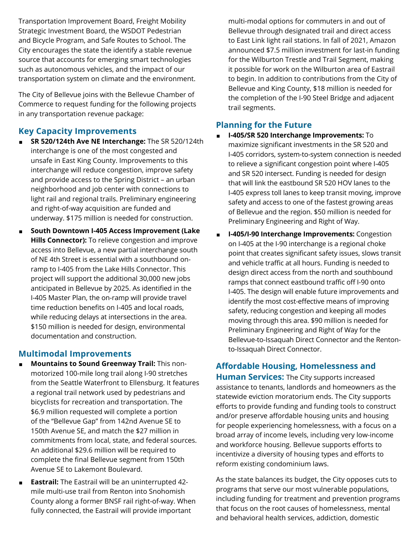Transportation Improvement Board, Freight Mobility Strategic Investment Board, the WSDOT Pedestrian and Bicycle Program, and Safe Routes to School. The City encourages the state the identify a stable revenue source that accounts for emerging smart technologies such as autonomous vehicles, and the impact of our transportation system on climate and the environment.

The City of Bellevue joins with the Bellevue Chamber of Commerce to request funding for the following projects in any transportation revenue package:

#### **Key Capacity Improvements**

- ◼ **SR 520/124th Ave NE Interchange:** The SR 520/124th interchange is one of the most congested and unsafe in East King County. Improvements to this interchange will reduce congestion, improve safety and provide access to the Spring District – an urban neighborhood and job center with connections to light rail and regional trails. Preliminary engineering and right-of-way acquisition are funded and underway. \$175 million is needed for construction.
- ◼ **South Downtown I-405 Access Improvement (Lake Hills Connector):** To relieve congestion and improve access into Bellevue, a new partial interchange south of NE 4th Street is essential with a southbound onramp to I-405 from the Lake Hills Connector. This project will support the additional 30,000 new jobs anticipated in Bellevue by 2025. As identified in the I-405 Master Plan, the on-ramp will provide travel time reduction benefits on I-405 and local roads, while reducing delays at intersections in the area. \$150 million is needed for design, environmental documentation and construction.

#### **Multimodal Improvements**

- ◼ **Mountains to Sound Greenway Trail:** This nonmotorized 100-mile long trail along I-90 stretches from the Seattle Waterfront to Ellensburg. It features a regional trail network used by pedestrians and bicyclists for recreation and transportation. The \$6.9 million requested will complete a portion of the "Bellevue Gap" from 142nd Avenue SE to 150th Avenue SE, and match the \$27 million in commitments from local, state, and federal sources. An additional \$29.6 million will be required to complete the final Bellevue segment from 150th Avenue SE to Lakemont Boulevard.
- **Eastrail:** The Eastrail will be an uninterrupted 42mile multi-use trail from Renton into Snohomish County along a former BNSF rail right-of-way. When fully connected, the Eastrail will provide important

multi-modal options for commuters in and out of Bellevue through designated trail and direct access to East Link light rail stations. In fall of 2021, Amazon announced \$7.5 million investment for last-in funding for the Wilburton Trestle and Trail Segment, making it possible for work on the Wilburton area of Eastrail to begin. In addition to contributions from the City of Bellevue and King County, \$18 million is needed for the completion of the I-90 Steel Bridge and adjacent trail segments.

### **Planning for the Future**

- ◼ **I-405/SR 520 Interchange Improvements:** To maximize significant investments in the SR 520 and I-405 corridors, system-to-system connection is needed to relieve a significant congestion point where I-405 and SR 520 intersect. Funding is needed for design that will link the eastbound SR 520 HOV lanes to the I-405 express toll lanes to keep transit moving, improve safety and access to one of the fastest growing areas of Bellevue and the region. \$50 million is needed for Preliminary Engineering and Right of Way.
- I-405/I-90 Interchange Improvements: Congestion on I-405 at the I-90 interchange is a regional choke point that creates significant safety issues, slows transit and vehicle traffic at all hours. Funding is needed to design direct access from the north and southbound ramps that connect eastbound traffic off I-90 onto I-405. The design will enable future improvements and identify the most cost-effective means of improving safety, reducing congestion and keeping all modes moving through this area. \$90 million is needed for Preliminary Engineering and Right of Way for the Bellevue-to-Issaquah Direct Connector and the Rentonto-Issaquah Direct Connector.

### **Affordable Housing, Homelessness and Human Services:** The City supports increased assistance to tenants, landlords and homeowners as the

statewide eviction moratorium ends. The City supports efforts to provide funding and funding tools to construct and/or preserve affordable housing units and housing for people experiencing homelessness, with a focus on a broad array of income levels, including very low-income and workforce housing. Bellevue supports efforts to incentivize a diversity of housing types and efforts to reform existing condominium laws.

As the state balances its budget, the City opposes cuts to programs that serve our most vulnerable populations, including funding for treatment and prevention programs that focus on the root causes of homelessness, mental and behavioral health services, addiction, domestic